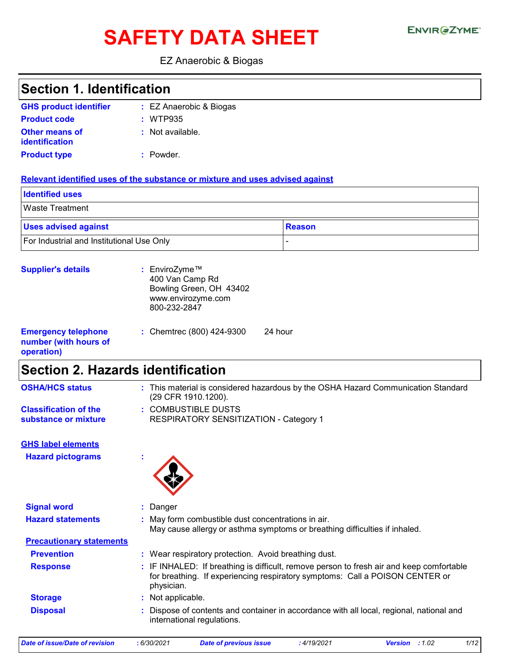# SAFETY DATA SHEET ENVIRGETMEN

#### EZ Anaerobic & Biogas

| <b>Section 1. Identification</b>                                  |                                                                                                                                                                                        |
|-------------------------------------------------------------------|----------------------------------------------------------------------------------------------------------------------------------------------------------------------------------------|
| <b>GHS product identifier</b>                                     | : EZ Anaerobic & Biogas                                                                                                                                                                |
| <b>Product code</b>                                               | : WTP935                                                                                                                                                                               |
| <b>Other means of</b><br><b>identification</b>                    | Not available.                                                                                                                                                                         |
| <b>Product type</b>                                               | : Powder.                                                                                                                                                                              |
|                                                                   | Relevant identified uses of the substance or mixture and uses advised against                                                                                                          |
| <b>Identified uses</b>                                            |                                                                                                                                                                                        |
| <b>Waste Treatment</b>                                            |                                                                                                                                                                                        |
| <b>Uses advised against</b>                                       | <b>Reason</b>                                                                                                                                                                          |
| For Industrial and Institutional Use Only                         |                                                                                                                                                                                        |
| <b>Supplier's details</b>                                         | : EnviroZyme™<br>400 Van Camp Rd<br>Bowling Green, OH 43402<br>www.envirozyme.com<br>800-232-2847                                                                                      |
| <b>Emergency telephone</b><br>number (with hours of<br>operation) | 24 hour<br>: Chemtrec (800) 424-9300                                                                                                                                                   |
| <b>Section 2. Hazards identification</b>                          |                                                                                                                                                                                        |
| <b>OSHA/HCS status</b>                                            | : This material is considered hazardous by the OSHA Hazard Communication Standard<br>(29 CFR 1910.1200).                                                                               |
| <b>Classification of the</b><br>substance or mixture              | <b>COMBUSTIBLE DUSTS</b><br><b>RESPIRATORY SENSITIZATION - Category 1</b>                                                                                                              |
| <b>GHS label elements</b>                                         |                                                                                                                                                                                        |
| <b>Hazard pictograms</b>                                          |                                                                                                                                                                                        |
| <b>Signal word</b>                                                | Danger                                                                                                                                                                                 |
| <b>Hazard statements</b>                                          | May form combustible dust concentrations in air.<br>May cause allergy or asthma symptoms or breathing difficulties if inhaled.                                                         |
| <b>Precautionary statements</b>                                   |                                                                                                                                                                                        |
| <b>Prevention</b>                                                 | : Wear respiratory protection. Avoid breathing dust.                                                                                                                                   |
| <b>Response</b>                                                   | : IF INHALED: If breathing is difficult, remove person to fresh air and keep comfortable<br>for breathing. If experiencing respiratory symptoms: Call a POISON CENTER or<br>physician. |
| <b>Storage</b>                                                    | : Not applicable.                                                                                                                                                                      |
| <b>Disposal</b>                                                   | Dispose of contents and container in accordance with all local, regional, national and<br>international regulations.                                                                   |

*Date of issue/Date of revision* **:** *6/30/2021 Date of previous issue : 4/19/2021 Version : 1.02 1/12*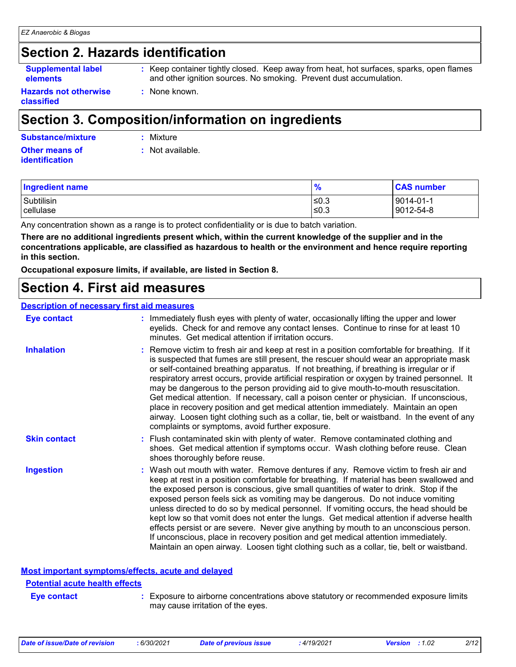### **Section 2. Hazards identification**

```
Supplemental label 
elements
```
**:** Keep container tightly closed. Keep away from heat, hot surfaces, sparks, open flames and other ignition sources. No smoking. Prevent dust accumulation.

**Hazards not otherwise classified**

### **Section 3. Composition/information on ingredients**

#### **Other means of identification Substance/mixture :** Mixture

**:** None known.

**:** Not available.

| <b>Ingredient name</b> | $\frac{9}{6}$ | <b>CAS number</b> |
|------------------------|---------------|-------------------|
| Subtilisin             | I≤0.3         | 9014-01-1         |
| cellulase              | !≤0.3         | 9012-54-8         |

Any concentration shown as a range is to protect confidentiality or is due to batch variation.

**There are no additional ingredients present which, within the current knowledge of the supplier and in the concentrations applicable, are classified as hazardous to health or the environment and hence require reporting in this section.**

**Occupational exposure limits, if available, are listed in Section 8.**

### **Section 4. First aid measures**

#### **Description of necessary first aid measures**

| <b>Eye contact</b>  | : Immediately flush eyes with plenty of water, occasionally lifting the upper and lower<br>eyelids. Check for and remove any contact lenses. Continue to rinse for at least 10<br>minutes. Get medical attention if irritation occurs.                                                                                                                                                                                                                                                                                                                                                                                                                                                                                                                                                                                    |
|---------------------|---------------------------------------------------------------------------------------------------------------------------------------------------------------------------------------------------------------------------------------------------------------------------------------------------------------------------------------------------------------------------------------------------------------------------------------------------------------------------------------------------------------------------------------------------------------------------------------------------------------------------------------------------------------------------------------------------------------------------------------------------------------------------------------------------------------------------|
| <b>Inhalation</b>   | : Remove victim to fresh air and keep at rest in a position comfortable for breathing. If it<br>is suspected that fumes are still present, the rescuer should wear an appropriate mask<br>or self-contained breathing apparatus. If not breathing, if breathing is irregular or if<br>respiratory arrest occurs, provide artificial respiration or oxygen by trained personnel. It<br>may be dangerous to the person providing aid to give mouth-to-mouth resuscitation.<br>Get medical attention. If necessary, call a poison center or physician. If unconscious,<br>place in recovery position and get medical attention immediately. Maintain an open<br>airway. Loosen tight clothing such as a collar, tie, belt or waistband. In the event of any<br>complaints or symptoms, avoid further exposure.               |
| <b>Skin contact</b> | : Flush contaminated skin with plenty of water. Remove contaminated clothing and<br>shoes. Get medical attention if symptoms occur. Wash clothing before reuse. Clean<br>shoes thoroughly before reuse.                                                                                                                                                                                                                                                                                                                                                                                                                                                                                                                                                                                                                   |
| <b>Ingestion</b>    | : Wash out mouth with water. Remove dentures if any. Remove victim to fresh air and<br>keep at rest in a position comfortable for breathing. If material has been swallowed and<br>the exposed person is conscious, give small quantities of water to drink. Stop if the<br>exposed person feels sick as vomiting may be dangerous. Do not induce vomiting<br>unless directed to do so by medical personnel. If vomiting occurs, the head should be<br>kept low so that vomit does not enter the lungs. Get medical attention if adverse health<br>effects persist or are severe. Never give anything by mouth to an unconscious person.<br>If unconscious, place in recovery position and get medical attention immediately.<br>Maintain an open airway. Loosen tight clothing such as a collar, tie, belt or waistband. |

**Most important symptoms/effects, acute and delayed**

#### **Potential acute health effects**

- **Eye contact :**
- Exposure to airborne concentrations above statutory or recommended exposure limits may cause irritation of the eyes.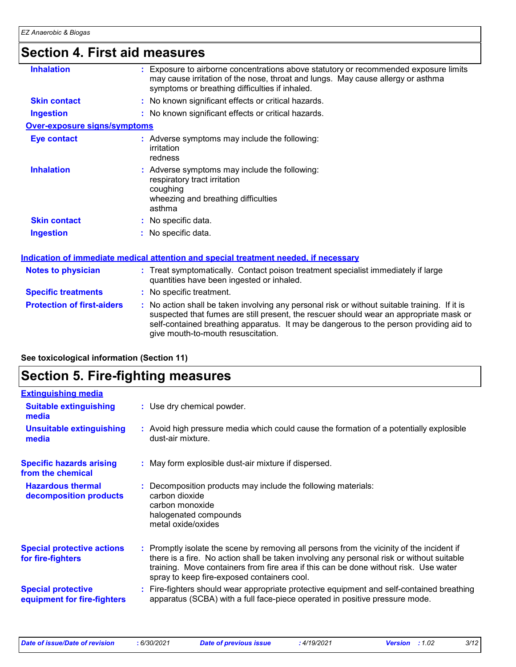# **Section 4. First aid measures**

| <b>Inhalation</b>                 | : Exposure to airborne concentrations above statutory or recommended exposure limits<br>may cause irritation of the nose, throat and lungs. May cause allergy or asthma<br>symptoms or breathing difficulties if inhaled.                                                                                               |
|-----------------------------------|-------------------------------------------------------------------------------------------------------------------------------------------------------------------------------------------------------------------------------------------------------------------------------------------------------------------------|
| <b>Skin contact</b>               | : No known significant effects or critical hazards.                                                                                                                                                                                                                                                                     |
| <b>Ingestion</b>                  | : No known significant effects or critical hazards.                                                                                                                                                                                                                                                                     |
| Over-exposure signs/symptoms      |                                                                                                                                                                                                                                                                                                                         |
| <b>Eye contact</b>                | : Adverse symptoms may include the following:<br>irritation<br>redness                                                                                                                                                                                                                                                  |
| <b>Inhalation</b>                 | : Adverse symptoms may include the following:<br>respiratory tract irritation<br>coughing<br>wheezing and breathing difficulties<br>asthma                                                                                                                                                                              |
| <b>Skin contact</b>               | : No specific data.                                                                                                                                                                                                                                                                                                     |
| <b>Ingestion</b>                  | : No specific data.                                                                                                                                                                                                                                                                                                     |
|                                   | Indication of immediate medical attention and special treatment needed, if necessary                                                                                                                                                                                                                                    |
| <b>Notes to physician</b>         | : Treat symptomatically. Contact poison treatment specialist immediately if large<br>quantities have been ingested or inhaled.                                                                                                                                                                                          |
| <b>Specific treatments</b>        | : No specific treatment.                                                                                                                                                                                                                                                                                                |
| <b>Protection of first-aiders</b> | : No action shall be taken involving any personal risk or without suitable training. If it is<br>suspected that fumes are still present, the rescuer should wear an appropriate mask or<br>self-contained breathing apparatus. It may be dangerous to the person providing aid to<br>give mouth-to-mouth resuscitation. |

**See toxicological information (Section 11)**

### **Section 5. Fire-fighting measures**

| <b>Extinguishing media</b>                               |                                                                                                                                                                                                                                                                                                                               |
|----------------------------------------------------------|-------------------------------------------------------------------------------------------------------------------------------------------------------------------------------------------------------------------------------------------------------------------------------------------------------------------------------|
| <b>Suitable extinguishing</b><br>media                   | : Use dry chemical powder.                                                                                                                                                                                                                                                                                                    |
| <b>Unsuitable extinguishing</b><br>media                 | : Avoid high pressure media which could cause the formation of a potentially explosible<br>dust-air mixture.                                                                                                                                                                                                                  |
| <b>Specific hazards arising</b><br>from the chemical     | : May form explosible dust-air mixture if dispersed.                                                                                                                                                                                                                                                                          |
| <b>Hazardous thermal</b><br>decomposition products       | Decomposition products may include the following materials:<br>carbon dioxide<br>carbon monoxide<br>halogenated compounds<br>metal oxide/oxides                                                                                                                                                                               |
| <b>Special protective actions</b><br>for fire-fighters   | : Promptly isolate the scene by removing all persons from the vicinity of the incident if<br>there is a fire. No action shall be taken involving any personal risk or without suitable<br>training. Move containers from fire area if this can be done without risk. Use water<br>spray to keep fire-exposed containers cool. |
| <b>Special protective</b><br>equipment for fire-fighters | Fire-fighters should wear appropriate protective equipment and self-contained breathing<br>apparatus (SCBA) with a full face-piece operated in positive pressure mode.                                                                                                                                                        |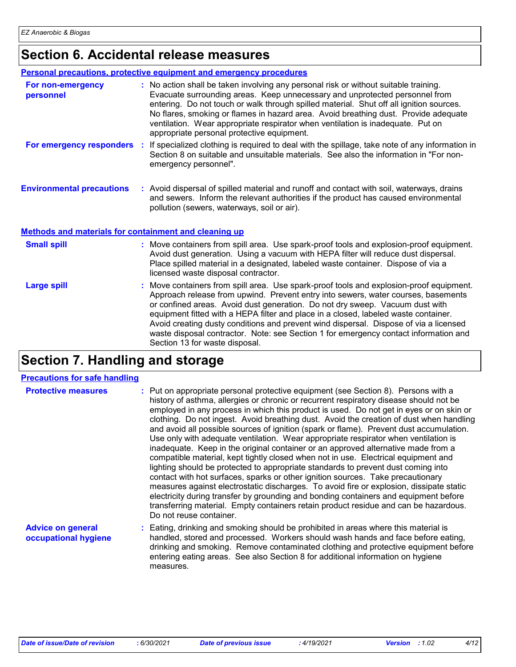# **Section 6. Accidental release measures**

|                                                              | <b>Personal precautions, protective equipment and emergency procedures</b>                                                                                                                                                                                                                                                                                                                                                                                                                                                                                             |
|--------------------------------------------------------------|------------------------------------------------------------------------------------------------------------------------------------------------------------------------------------------------------------------------------------------------------------------------------------------------------------------------------------------------------------------------------------------------------------------------------------------------------------------------------------------------------------------------------------------------------------------------|
| For non-emergency<br>personnel                               | : No action shall be taken involving any personal risk or without suitable training.<br>Evacuate surrounding areas. Keep unnecessary and unprotected personnel from<br>entering. Do not touch or walk through spilled material. Shut off all ignition sources.<br>No flares, smoking or flames in hazard area. Avoid breathing dust. Provide adequate<br>ventilation. Wear appropriate respirator when ventilation is inadequate. Put on<br>appropriate personal protective equipment.                                                                                 |
|                                                              | For emergency responders : If specialized clothing is required to deal with the spillage, take note of any information in<br>Section 8 on suitable and unsuitable materials. See also the information in "For non-<br>emergency personnel".                                                                                                                                                                                                                                                                                                                            |
| <b>Environmental precautions</b>                             | : Avoid dispersal of spilled material and runoff and contact with soil, waterways, drains<br>and sewers. Inform the relevant authorities if the product has caused environmental<br>pollution (sewers, waterways, soil or air).                                                                                                                                                                                                                                                                                                                                        |
| <b>Methods and materials for containment and cleaning up</b> |                                                                                                                                                                                                                                                                                                                                                                                                                                                                                                                                                                        |
| <b>Small spill</b>                                           | : Move containers from spill area. Use spark-proof tools and explosion-proof equipment.<br>Avoid dust generation. Using a vacuum with HEPA filter will reduce dust dispersal.<br>Place spilled material in a designated, labeled waste container. Dispose of via a<br>licensed waste disposal contractor.                                                                                                                                                                                                                                                              |
| <b>Large spill</b>                                           | : Move containers from spill area. Use spark-proof tools and explosion-proof equipment.<br>Approach release from upwind. Prevent entry into sewers, water courses, basements<br>or confined areas. Avoid dust generation. Do not dry sweep. Vacuum dust with<br>equipment fitted with a HEPA filter and place in a closed, labeled waste container.<br>Avoid creating dusty conditions and prevent wind dispersal. Dispose of via a licensed<br>waste disposal contractor. Note: see Section 1 for emergency contact information and<br>Section 13 for waste disposal. |

# **Section 7. Handling and storage**

#### **Precautions for safe handling**

| <b>Protective measures</b>                       | : Put on appropriate personal protective equipment (see Section 8). Persons with a<br>history of asthma, allergies or chronic or recurrent respiratory disease should not be<br>employed in any process in which this product is used. Do not get in eyes or on skin or<br>clothing. Do not ingest. Avoid breathing dust. Avoid the creation of dust when handling<br>and avoid all possible sources of ignition (spark or flame). Prevent dust accumulation.<br>Use only with adequate ventilation. Wear appropriate respirator when ventilation is<br>inadequate. Keep in the original container or an approved alternative made from a<br>compatible material, kept tightly closed when not in use. Electrical equipment and<br>lighting should be protected to appropriate standards to prevent dust coming into<br>contact with hot surfaces, sparks or other ignition sources. Take precautionary<br>measures against electrostatic discharges. To avoid fire or explosion, dissipate static<br>electricity during transfer by grounding and bonding containers and equipment before<br>transferring material. Empty containers retain product residue and can be hazardous.<br>Do not reuse container. |
|--------------------------------------------------|---------------------------------------------------------------------------------------------------------------------------------------------------------------------------------------------------------------------------------------------------------------------------------------------------------------------------------------------------------------------------------------------------------------------------------------------------------------------------------------------------------------------------------------------------------------------------------------------------------------------------------------------------------------------------------------------------------------------------------------------------------------------------------------------------------------------------------------------------------------------------------------------------------------------------------------------------------------------------------------------------------------------------------------------------------------------------------------------------------------------------------------------------------------------------------------------------------------|
| <b>Advice on general</b><br>occupational hygiene | : Eating, drinking and smoking should be prohibited in areas where this material is<br>handled, stored and processed. Workers should wash hands and face before eating,<br>drinking and smoking. Remove contaminated clothing and protective equipment before<br>entering eating areas. See also Section 8 for additional information on hygiene                                                                                                                                                                                                                                                                                                                                                                                                                                                                                                                                                                                                                                                                                                                                                                                                                                                              |

measures.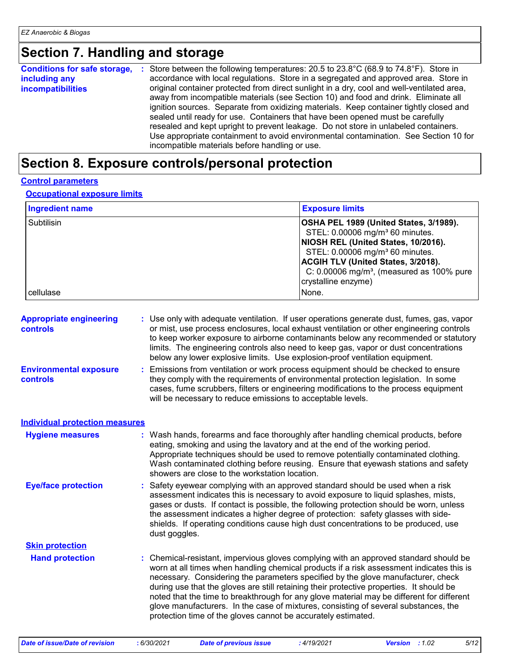### **Section 7. Handling and storage**

| <b>Conditions for safe storage,</b> | : Store between the following temperatures: 20.5 to $23.8^{\circ}C$ (68.9 to $74.8^{\circ}F$ ). Store in                                                                          |
|-------------------------------------|-----------------------------------------------------------------------------------------------------------------------------------------------------------------------------------|
| including any                       | accordance with local regulations. Store in a segregated and approved area. Store in                                                                                              |
| <i>incompatibilities</i>            | original container protected from direct sunlight in a dry, cool and well-ventilated area,<br>away from incompatible materials (see Section 10) and food and drink. Eliminate all |
|                                     | ignition sources. Separate from oxidizing materials. Keep container tightly closed and<br>sealed until ready for use. Containers that have been opened must be carefully          |
|                                     | resealed and kept upright to prevent leakage. Do not store in unlabeled containers.                                                                                               |
|                                     | Use appropriate containment to avoid environmental contamination. See Section 10 for<br>incompatible materials before handling or use.                                            |

### **Section 8. Exposure controls/personal protection**

#### **Control parameters**

#### **Occupational exposure limits**

| Ingredient name | <b>Exposure limits</b>                                                                                                                                                                                                                                                                                     |
|-----------------|------------------------------------------------------------------------------------------------------------------------------------------------------------------------------------------------------------------------------------------------------------------------------------------------------------|
| Subtilisin      | OSHA PEL 1989 (United States, 3/1989).<br>STEL: 0.00006 mg/m <sup>3</sup> 60 minutes.<br>NIOSH REL (United States, 10/2016).<br>STEL: 0.00006 mg/m <sup>3</sup> 60 minutes.<br><b>ACGIH TLV (United States, 3/2018).</b><br>C: $0.00006$ mg/m <sup>3</sup> , (measured as 100% pure<br>crystalline enzyme) |
| cellulase       | None.                                                                                                                                                                                                                                                                                                      |

| <b>Appropriate engineering</b><br><b>controls</b> | : Use only with adequate ventilation. If user operations generate dust, fumes, gas, vapor<br>or mist, use process enclosures, local exhaust ventilation or other engineering controls<br>to keep worker exposure to airborne contaminants below any recommended or statutory<br>limits. The engineering controls also need to keep gas, vapor or dust concentrations<br>below any lower explosive limits. Use explosion-proof ventilation equipment. |
|---------------------------------------------------|------------------------------------------------------------------------------------------------------------------------------------------------------------------------------------------------------------------------------------------------------------------------------------------------------------------------------------------------------------------------------------------------------------------------------------------------------|
| <b>Environmental exposure</b>                     | : Emissions from ventilation or work process equipment should be checked to ensure                                                                                                                                                                                                                                                                                                                                                                   |

**controls** they comply with the requirements of environmental protection legislation. In some cases, fume scrubbers, filters or engineering modifications to the process equipment will be necessary to reduce emissions to acceptable levels.

#### **Individual protection measures**

| <b>Hygiene measures</b>    | : Wash hands, forearms and face thoroughly after handling chemical products, before<br>eating, smoking and using the lavatory and at the end of the working period.<br>Appropriate techniques should be used to remove potentially contaminated clothing.<br>Wash contaminated clothing before reusing. Ensure that eyewash stations and safety<br>showers are close to the workstation location.                                                                                                                                                                                                                      |
|----------------------------|------------------------------------------------------------------------------------------------------------------------------------------------------------------------------------------------------------------------------------------------------------------------------------------------------------------------------------------------------------------------------------------------------------------------------------------------------------------------------------------------------------------------------------------------------------------------------------------------------------------------|
| <b>Eye/face protection</b> | : Safety eyewear complying with an approved standard should be used when a risk<br>assessment indicates this is necessary to avoid exposure to liquid splashes, mists,<br>gases or dusts. If contact is possible, the following protection should be worn, unless<br>the assessment indicates a higher degree of protection: safety glasses with side-<br>shields. If operating conditions cause high dust concentrations to be produced, use<br>dust goggles.                                                                                                                                                         |
| <b>Skin protection</b>     |                                                                                                                                                                                                                                                                                                                                                                                                                                                                                                                                                                                                                        |
| <b>Hand protection</b>     | : Chemical-resistant, impervious gloves complying with an approved standard should be<br>worn at all times when handling chemical products if a risk assessment indicates this is<br>necessary. Considering the parameters specified by the glove manufacturer, check<br>during use that the gloves are still retaining their protective properties. It should be<br>noted that the time to breakthrough for any glove material may be different for different<br>glove manufacturers. In the case of mixtures, consisting of several substances, the<br>protection time of the gloves cannot be accurately estimated. |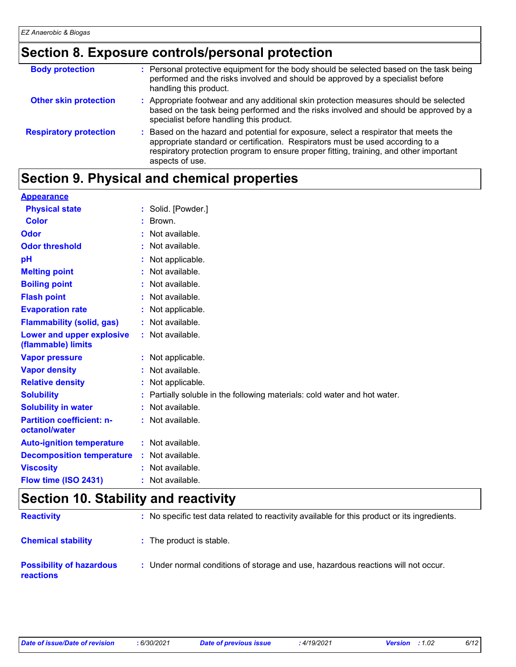### **Section 8. Exposure controls/personal protection**

| <b>Body protection</b>        | : Personal protective equipment for the body should be selected based on the task being<br>performed and the risks involved and should be approved by a specialist before<br>handling this product.                                                                                 |
|-------------------------------|-------------------------------------------------------------------------------------------------------------------------------------------------------------------------------------------------------------------------------------------------------------------------------------|
| <b>Other skin protection</b>  | : Appropriate footwear and any additional skin protection measures should be selected<br>based on the task being performed and the risks involved and should be approved by a<br>specialist before handling this product.                                                           |
| <b>Respiratory protection</b> | : Based on the hazard and potential for exposure, select a respirator that meets the<br>appropriate standard or certification. Respirators must be used according to a<br>respiratory protection program to ensure proper fitting, training, and other important<br>aspects of use. |

### **Section 9. Physical and chemical properties**

| <b>Appearance</b>                |                                                                         |
|----------------------------------|-------------------------------------------------------------------------|
| <b>Physical state</b>            | : Solid. [Powder.]                                                      |
| <b>Color</b>                     | Brown.                                                                  |
| Odor                             | Not available.                                                          |
| <b>Odor threshold</b>            | : Not available.                                                        |
| pH                               | Not applicable.                                                         |
| <b>Melting point</b>             | Not available.                                                          |
| <b>Boiling point</b>             | : Not available.                                                        |
| <b>Flash point</b>               | Not available.                                                          |
| <b>Evaporation rate</b>          | : Not applicable.                                                       |
| <b>Flammability (solid, gas)</b> | : Not available.                                                        |
| Lower and upper explosive        | : Not available.                                                        |
| (flammable) limits               |                                                                         |
| <b>Vapor pressure</b>            | : Not applicable.                                                       |
| <b>Vapor density</b>             | : Not available.                                                        |
| <b>Relative density</b>          | Not applicable.                                                         |
| <b>Solubility</b>                | Partially soluble in the following materials: cold water and hot water. |
| <b>Solubility in water</b>       | : Not available.                                                        |
| <b>Partition coefficient: n-</b> | : Not available.                                                        |
| octanol/water                    |                                                                         |
| <b>Auto-ignition temperature</b> | : Not available.                                                        |
| <b>Decomposition temperature</b> | : Not available.                                                        |
| <b>Viscosity</b>                 | : Not available.                                                        |
| Flow time (ISO 2431)             | : Not available.                                                        |

### **Section 10. Stability and reactivity**

| <b>Reactivity</b>                                   | : No specific test data related to reactivity available for this product or its ingredients. |
|-----------------------------------------------------|----------------------------------------------------------------------------------------------|
| <b>Chemical stability</b>                           | : The product is stable.                                                                     |
| <b>Possibility of hazardous</b><br><b>reactions</b> | : Under normal conditions of storage and use, hazardous reactions will not occur.            |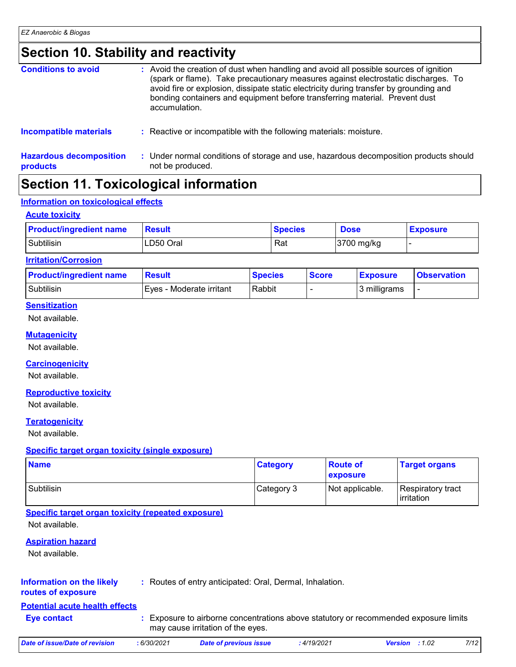### **Section 10. Stability and reactivity**

| <b>Conditions to avoid</b>                 | : Avoid the creation of dust when handling and avoid all possible sources of ignition<br>(spark or flame). Take precautionary measures against electrostatic discharges. To<br>avoid fire or explosion, dissipate static electricity during transfer by grounding and<br>bonding containers and equipment before transferring material. Prevent dust<br>accumulation. |
|--------------------------------------------|-----------------------------------------------------------------------------------------------------------------------------------------------------------------------------------------------------------------------------------------------------------------------------------------------------------------------------------------------------------------------|
| <b>Incompatible materials</b>              | : Reactive or incompatible with the following materials: moisture.                                                                                                                                                                                                                                                                                                    |
| <b>Hazardous decomposition</b><br>products | : Under normal conditions of storage and use, hazardous decomposition products should<br>not be produced.                                                                                                                                                                                                                                                             |

### **Section 11. Toxicological information**

#### **Information on toxicological effects**

#### **Acute toxicity**

| <b>Product/ingredient name</b> | <b>Result</b> | <b>Species</b> | <b>Dose</b> | <b>Exposure</b> |
|--------------------------------|---------------|----------------|-------------|-----------------|
| Subtilisin                     | LD50 Oral     | Rat            | 3700 mg/kg  |                 |

#### **Irritation/Corrosion**

| <b>Product/ingredient name</b> | Result                   | <b>Species</b> | <b>Score</b> | <b>Exposure</b> | <b>Observation</b> |
|--------------------------------|--------------------------|----------------|--------------|-----------------|--------------------|
| Subtilisin                     | Eves - Moderate irritant | Rabbit         |              | 3 milligrams    | -                  |

#### **Sensitization**

Not available.

#### **Mutagenicity**

Not available.

#### **Carcinogenicity**

Not available.

#### **Reproductive toxicity**

Not available.

#### **Teratogenicity**

Not available.

#### **Specific target organ toxicity (single exposure)**

| <b>Name</b> | <b>Category</b> | <b>Route of</b><br><b>exposure</b> | <b>Target organs</b>            |
|-------------|-----------------|------------------------------------|---------------------------------|
| Subtilisin  | Category 3      | Not applicable.                    | Respiratory tract<br>irritation |

#### **Specific target organ toxicity (repeated exposure)**

Not available.

#### **Aspiration hazard**

Not available.

#### **Information on the likely**

**:** Routes of entry anticipated: Oral, Dermal, Inhalation.

#### **routes of exposure**

#### **Potential acute health effects**

- **Eye contact :**
- Exposure to airborne concentrations above statutory or recommended exposure limits may cause irritation of the eyes.

| Date of issue/Date of revision | 6/30/2021 | Date of previous issue | 4/19/2021. | <b>Version</b> | :1.02 | 7/12 |
|--------------------------------|-----------|------------------------|------------|----------------|-------|------|
|                                |           |                        |            |                |       |      |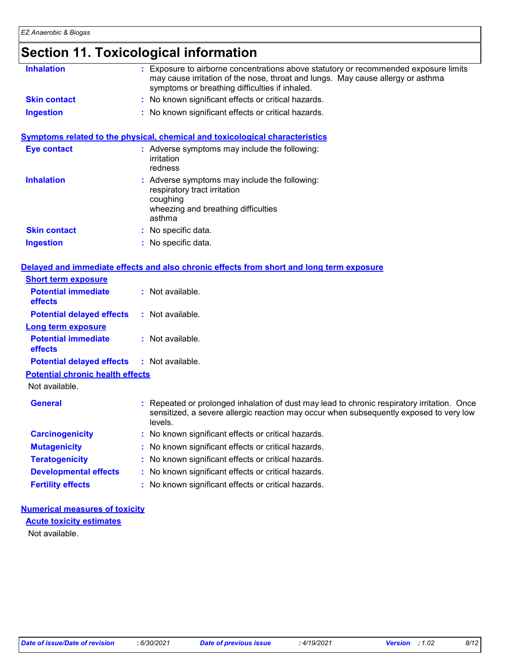# **Section 11. Toxicological information**

| <b>Inhalation</b>                       | : Exposure to airborne concentrations above statutory or recommended exposure limits<br>may cause irritation of the nose, throat and lungs. May cause allergy or asthma<br>symptoms or breathing difficulties if inhaled. |
|-----------------------------------------|---------------------------------------------------------------------------------------------------------------------------------------------------------------------------------------------------------------------------|
| <b>Skin contact</b>                     | : No known significant effects or critical hazards.                                                                                                                                                                       |
| <b>Ingestion</b>                        | : No known significant effects or critical hazards.                                                                                                                                                                       |
|                                         | Symptoms related to the physical, chemical and toxicological characteristics                                                                                                                                              |
| <b>Eye contact</b>                      | : Adverse symptoms may include the following:<br>irritation<br>redness                                                                                                                                                    |
| <b>Inhalation</b>                       | : Adverse symptoms may include the following:<br>respiratory tract irritation<br>coughing<br>wheezing and breathing difficulties<br>asthma                                                                                |
| <b>Skin contact</b>                     | : No specific data.                                                                                                                                                                                                       |
| <b>Ingestion</b>                        | : No specific data.                                                                                                                                                                                                       |
|                                         | Delayed and immediate effects and also chronic effects from short and long term exposure                                                                                                                                  |
| <b>Short term exposure</b>              |                                                                                                                                                                                                                           |
| <b>Potential immediate</b><br>effects   | : Not available.                                                                                                                                                                                                          |
| <b>Potential delayed effects</b>        | $:$ Not available.                                                                                                                                                                                                        |
| <b>Long term exposure</b>               |                                                                                                                                                                                                                           |
| <b>Potential immediate</b><br>effects   | $:$ Not available.                                                                                                                                                                                                        |
| <b>Potential delayed effects</b>        | : Not available.                                                                                                                                                                                                          |
| <b>Potential chronic health effects</b> |                                                                                                                                                                                                                           |
| Not available.                          |                                                                                                                                                                                                                           |
| <b>General</b>                          | : Repeated or prolonged inhalation of dust may lead to chronic respiratory irritation. Once<br>sensitized, a severe allergic reaction may occur when subsequently exposed to very low<br>levels.                          |
| <b>Carcinogenicity</b>                  | : No known significant effects or critical hazards.                                                                                                                                                                       |
| <b>Mutagenicity</b>                     | : No known significant effects or critical hazards.                                                                                                                                                                       |
| <b>Teratogenicity</b>                   | : No known significant effects or critical hazards.                                                                                                                                                                       |
| <b>Developmental effects</b>            | : No known significant effects or critical hazards.                                                                                                                                                                       |
| <b>Fertility effects</b>                | : No known significant effects or critical hazards.                                                                                                                                                                       |

#### **Numerical measures of toxicity Acute toxicity estimates**

Not available.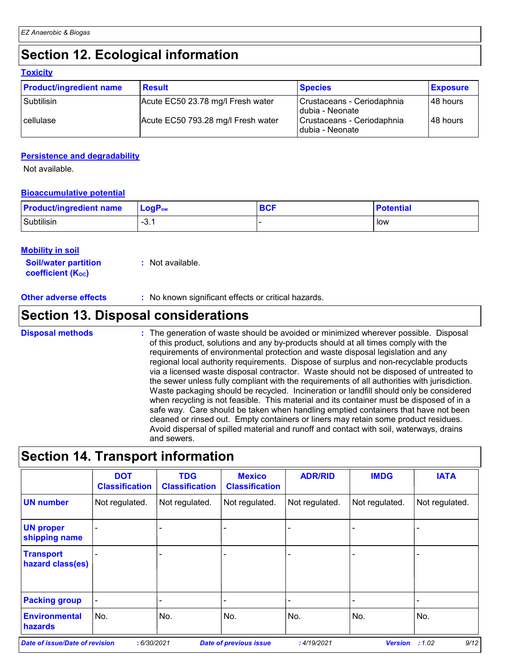# **Section 12. Ecological information**

#### **Toxicity**

| <b>Product/ingredient name</b> | <b>Result</b>                      | <b>Species</b>                                 | <b>Exposure</b> |
|--------------------------------|------------------------------------|------------------------------------------------|-----------------|
| Subtilisin                     | Acute EC50 23.78 mg/l Fresh water  | Crustaceans - Ceriodaphnia<br>Idubia - Neonate | l 48 hours      |
| cellulase                      | Acute EC50 793.28 mg/l Fresh water | Crustaceans - Ceriodaphnia<br>Idubia - Neonate | l 48 hours      |

#### **Persistence and degradability**

Not available.

#### **Bioaccumulative potential**

| <b>Product/ingredient name</b> | ∣ LoqP <sub>ow</sub> | <b>BCF</b> | <b>Potential</b> |
|--------------------------------|----------------------|------------|------------------|
| Subtilisin                     | <u>n</u><br>-ು. .    |            | low              |

#### **Mobility in soil**

**Soil/water partition coefficient (KOC) :** Not available.

**Other adverse effects** : No known significant effects or critical hazards.

### **Section 13. Disposal considerations**

The generation of waste should be avoided or minimized wherever possible. Disposal of this product, solutions and any by-products should at all times comply with the requirements of environmental protection and waste disposal legislation and any regional local authority requirements. Dispose of surplus and non-recyclable products via a licensed waste disposal contractor. Waste should not be disposed of untreated to the sewer unless fully compliant with the requirements of all authorities with jurisdiction. Waste packaging should be recycled. Incineration or landfill should only be considered when recycling is not feasible. This material and its container must be disposed of in a safe way. Care should be taken when handling emptied containers that have not been cleaned or rinsed out. Empty containers or liners may retain some product residues. Avoid dispersal of spilled material and runoff and contact with soil, waterways, drains and sewers. **Disposal methods :**

### **Section 14. Transport information**

|                                       | <b>DOT</b><br><b>Classification</b> | <b>TDG</b><br><b>Classification</b> | <b>Mexico</b><br><b>Classification</b> | <b>ADR/RID</b> | <b>IMDG</b>    | <b>IATA</b>    |
|---------------------------------------|-------------------------------------|-------------------------------------|----------------------------------------|----------------|----------------|----------------|
| <b>UN number</b>                      | Not regulated.                      | Not regulated.                      | Not regulated.                         | Not regulated. | Not regulated. | Not regulated. |
| <b>UN proper</b><br>shipping name     |                                     |                                     |                                        |                |                |                |
| <b>Transport</b><br>hazard class(es)  |                                     |                                     |                                        |                |                |                |
| <b>Packing group</b>                  |                                     |                                     |                                        |                |                | -              |
| <b>Environmental</b><br>hazards       | No.                                 | No.                                 | No.                                    | No.            | No.            | No.            |
| <b>Date of issue/Date of revision</b> | :6/30/2021                          |                                     | <b>Date of previous issue</b>          | :4/19/2021     | <b>Version</b> | 9/12<br>:1.02  |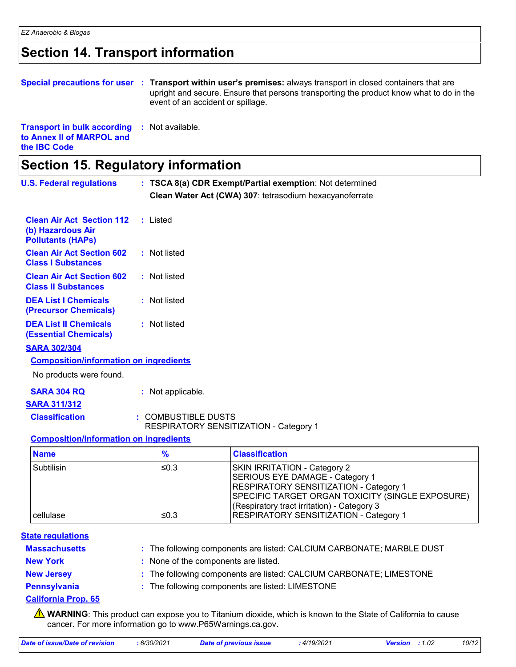# **Section 14. Transport information**

|                                                                                                         |  | Special precautions for user : Transport within user's premises: always transport in closed containers that are<br>upright and secure. Ensure that persons transporting the product know what to do in the<br>event of an accident or spillage. |  |
|---------------------------------------------------------------------------------------------------------|--|-------------------------------------------------------------------------------------------------------------------------------------------------------------------------------------------------------------------------------------------------|--|
| <b>Transport in bulk according : Not available.</b><br>to Annex II of MARPOL and<br>the <b>IBC</b> Code |  |                                                                                                                                                                                                                                                 |  |
| Section 15. Regulatory information                                                                      |  |                                                                                                                                                                                                                                                 |  |

| <b>U.S. Federal regulations</b>                                                   | : TSCA 8(a) CDR Exempt/Partial exemption: Not determined              |                                                                                                                                                                                                                                                               |  |
|-----------------------------------------------------------------------------------|-----------------------------------------------------------------------|---------------------------------------------------------------------------------------------------------------------------------------------------------------------------------------------------------------------------------------------------------------|--|
|                                                                                   |                                                                       | Clean Water Act (CWA) 307: tetrasodium hexacyanoferrate                                                                                                                                                                                                       |  |
| <b>Clean Air Act Section 112</b><br>(b) Hazardous Air<br><b>Pollutants (HAPs)</b> | : Listed                                                              |                                                                                                                                                                                                                                                               |  |
| <b>Clean Air Act Section 602</b><br><b>Class I Substances</b>                     | : Not listed                                                          |                                                                                                                                                                                                                                                               |  |
| <b>Clean Air Act Section 602</b><br><b>Class II Substances</b>                    | : Not listed                                                          |                                                                                                                                                                                                                                                               |  |
| <b>DEA List I Chemicals</b><br>(Precursor Chemicals)                              | : Not listed                                                          |                                                                                                                                                                                                                                                               |  |
| <b>DEA List II Chemicals</b><br><b>(Essential Chemicals)</b>                      | : Not listed                                                          |                                                                                                                                                                                                                                                               |  |
| <b>SARA 302/304</b>                                                               |                                                                       |                                                                                                                                                                                                                                                               |  |
| <b>Composition/information on ingredients</b>                                     |                                                                       |                                                                                                                                                                                                                                                               |  |
| No products were found.                                                           |                                                                       |                                                                                                                                                                                                                                                               |  |
| <b>SARA 304 RQ</b>                                                                | : Not applicable.                                                     |                                                                                                                                                                                                                                                               |  |
| <b>SARA 311/312</b>                                                               |                                                                       |                                                                                                                                                                                                                                                               |  |
| <b>Classification</b>                                                             | : COMBUSTIBLE DUSTS                                                   |                                                                                                                                                                                                                                                               |  |
| <b>Composition/information on ingredients</b>                                     |                                                                       | RESPIRATORY SENSITIZATION - Category 1                                                                                                                                                                                                                        |  |
| <b>Name</b>                                                                       | $\frac{9}{6}$                                                         | <b>Classification</b>                                                                                                                                                                                                                                         |  |
|                                                                                   |                                                                       |                                                                                                                                                                                                                                                               |  |
| Subtilisin<br>cellulase                                                           | $≤0.3$<br>≤0.3                                                        | <b>SKIN IRRITATION - Category 2</b><br>SERIOUS EYE DAMAGE - Category 1<br>RESPIRATORY SENSITIZATION - Category 1<br>SPECIFIC TARGET ORGAN TOXICITY (SINGLE EXPOSURE)<br>(Respiratory tract irritation) - Category 3<br>RESPIRATORY SENSITIZATION - Category 1 |  |
|                                                                                   |                                                                       |                                                                                                                                                                                                                                                               |  |
| <b>State regulations</b>                                                          |                                                                       |                                                                                                                                                                                                                                                               |  |
| <b>Massachusetts</b>                                                              | : The following components are listed: CALCIUM CARBONATE; MARBLE DUST |                                                                                                                                                                                                                                                               |  |
| <b>New York</b>                                                                   | None of the components are listed.                                    |                                                                                                                                                                                                                                                               |  |
| <b>New Jersey</b>                                                                 | The following components are listed: CALCIUM CARBONATE; LIMESTONE     |                                                                                                                                                                                                                                                               |  |
| <b>Pennsylvania</b>                                                               |                                                                       | The following components are listed: LIMESTONE                                                                                                                                                                                                                |  |
| <b>California Prop. 65</b>                                                        |                                                                       |                                                                                                                                                                                                                                                               |  |

**A** WARNING: This product can expose you to Titanium dioxide, which is known to the State of California to cause cancer. For more information go to www.P65Warnings.ca.gov.

| Date of issue/Date of revision | 6/30/2021 | <b>Date of previous issue</b> | 4/19/2021. | Version | : 1.02 | 10/12 |
|--------------------------------|-----------|-------------------------------|------------|---------|--------|-------|
|                                |           |                               |            |         |        |       |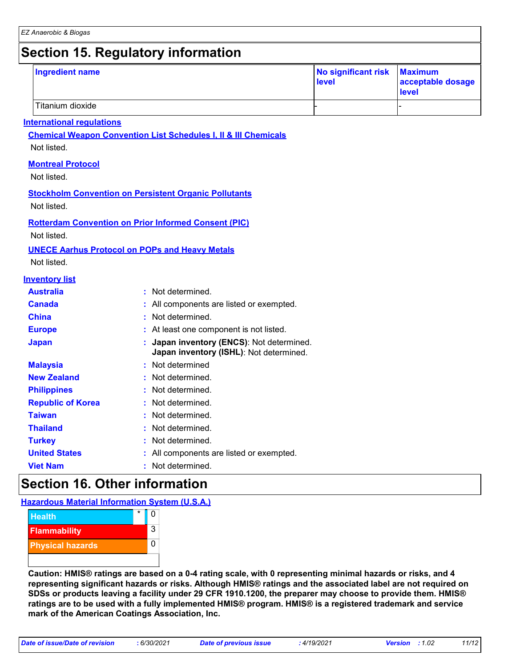# **Section 15. Regulatory information**

| <b>Ingredient name</b>           |                                                                                    | No significant risk<br>level | <b>Maximum</b><br>acceptable dosage<br>level |
|----------------------------------|------------------------------------------------------------------------------------|------------------------------|----------------------------------------------|
| Titanium dioxide                 |                                                                                    |                              |                                              |
| <b>International regulations</b> |                                                                                    |                              |                                              |
|                                  | <b>Chemical Weapon Convention List Schedules I, II &amp; III Chemicals</b>         |                              |                                              |
| Not listed.                      |                                                                                    |                              |                                              |
| <b>Montreal Protocol</b>         |                                                                                    |                              |                                              |
| Not listed.                      |                                                                                    |                              |                                              |
|                                  | <b>Stockholm Convention on Persistent Organic Pollutants</b>                       |                              |                                              |
| Not listed.                      |                                                                                    |                              |                                              |
|                                  | <b>Rotterdam Convention on Prior Informed Consent (PIC)</b>                        |                              |                                              |
| Not listed.                      |                                                                                    |                              |                                              |
|                                  | <b>UNECE Aarhus Protocol on POPs and Heavy Metals</b>                              |                              |                                              |
| Not listed.                      |                                                                                    |                              |                                              |
| <b>Inventory list</b>            |                                                                                    |                              |                                              |
| <b>Australia</b>                 | Not determined.<br>÷                                                               |                              |                                              |
| <b>Canada</b>                    | : All components are listed or exempted.                                           |                              |                                              |
| <b>China</b>                     | Not determined.                                                                    |                              |                                              |
| <b>Europe</b>                    | At least one component is not listed.                                              |                              |                                              |
| <b>Japan</b>                     | Japan inventory (ENCS): Not determined.<br>Japan inventory (ISHL): Not determined. |                              |                                              |
| <b>Malaysia</b>                  | Not determined                                                                     |                              |                                              |
| <b>New Zealand</b>               | Not determined.                                                                    |                              |                                              |
| <b>Philippines</b>               | Not determined.                                                                    |                              |                                              |
| <b>Republic of Korea</b>         | Not determined.                                                                    |                              |                                              |
| <b>Taiwan</b>                    | Not determined.                                                                    |                              |                                              |
| <b>Thailand</b>                  | Not determined.                                                                    |                              |                                              |
| <b>Turkey</b>                    | Not determined.                                                                    |                              |                                              |
| <b>United States</b>             | All components are listed or exempted.                                             |                              |                                              |
| <b>Viet Nam</b>                  | Not determined.                                                                    |                              |                                              |

### **Section 16. Other information**

**Hazardous Material Information System (U.S.A.)**



**Caution: HMIS® ratings are based on a 0-4 rating scale, with 0 representing minimal hazards or risks, and 4 representing significant hazards or risks. Although HMIS® ratings and the associated label are not required on SDSs or products leaving a facility under 29 CFR 1910.1200, the preparer may choose to provide them. HMIS® ratings are to be used with a fully implemented HMIS® program. HMIS® is a registered trademark and service mark of the American Coatings Association, Inc.**